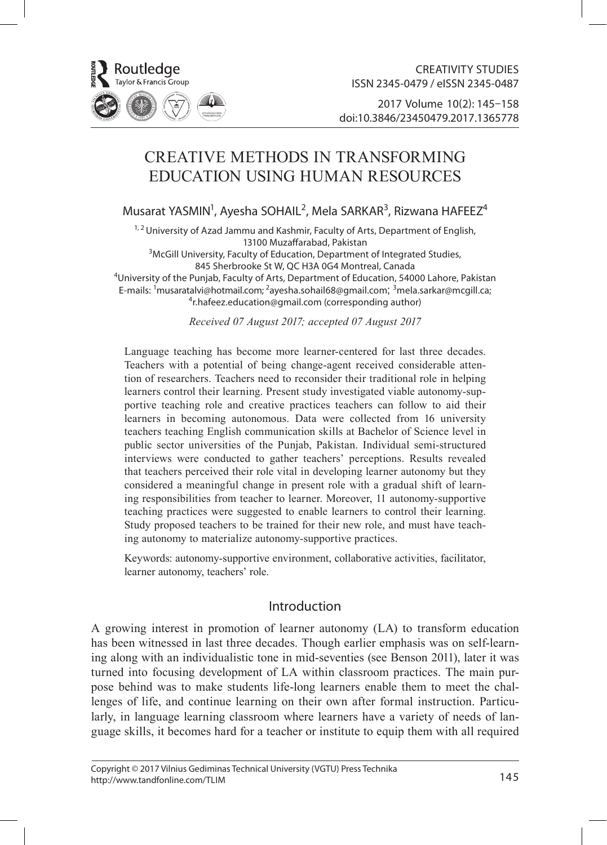

2017 Volume 10(2): 145–158 doi:10.3846/23450479.2017.1365778

# CREATIVE METHODS IN TRANSFORMING EDUCATION USING HUMAN RESOURCES

Musarat YASMIN<sup>1</sup>, Ayesha SOHAIL<sup>2</sup>, Mela SARKAR<sup>3</sup>, Rizwana HAFEEZ<sup>4</sup>

<sup>1, 2</sup> University of Azad Jammu and Kashmir, Faculty of Arts, Department of English, 13100 Muzaffarabad, Pakistan

<sup>3</sup>McGill University, Faculty of Education, Department of Integrated Studies, 845 Sherbrooke St W, QC H3A 0G4 Montreal, Canada<br>University of the Punjab, Faculty of Arts, Department of Education, 54000 Lahore, Pakistan<sup>4</sup> E-mails: <sup>1</sup>musaratalvi@hotmail.com; <sup>2</sup>ayesha.sohail68@gmail.com; <sup>3</sup>mela.sarkar@mcgill.ca;

4 r.hafeez.education@gmail.com (corresponding author)

*Received 07 August 2017; accepted 07 August 2017* 

Language teaching has become more learner-centered for last three decades. Teachers with a potential of being change-agent received considerable attention of researchers. Teachers need to reconsider their traditional role in helping learners control their learning. Present study investigated viable autonomy-supportive teaching role and creative practices teachers can follow to aid their learners in becoming autonomous. Data were collected from 16 university teachers teaching English communication skills at Bachelor of Science level in public sector universities of the Punjab, Pakistan. Individual semi-structured interviews were conducted to gather teachers' perceptions. Results revealed that teachers perceived their role vital in developing learner autonomy but they considered a meaningful change in present role with a gradual shift of learning responsibilities from teacher to learner. Moreover, 11 autonomy-supportive teaching practices were suggested to enable learners to control their learning. Study proposed teachers to be trained for their new role, and must have teaching autonomy to materialize autonomy-supportive practices.

Keywords: autonomy-supportive environment, collaborative activities, facilitator, learner autonomy, teachers' role.

# Introduction

A growing interest in promotion of learner autonomy (LA) to transform education has been witnessed in last three decades. Though earlier emphasis was on self-learning along with an individualistic tone in mid-seventies (see Benson 2011), later it was turned into focusing development of LA within classroom practices. The main purpose behind was to make students life-long learners enable them to meet the challenges of life, and continue learning on their own after formal instruction. Particularly, in language learning classroom where learners have a variety of needs of language skills, it becomes hard for a teacher or institute to equip them with all required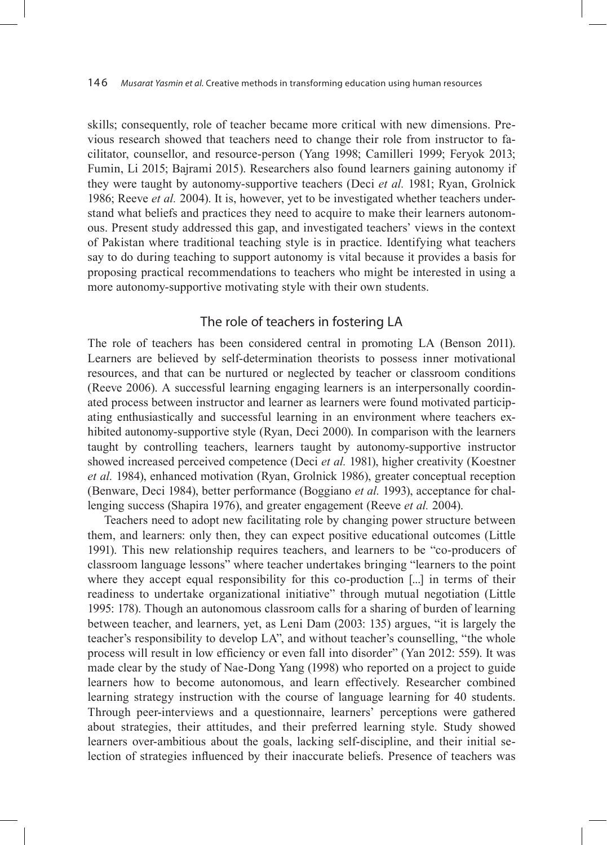skills; consequently, role of teacher became more critical with new dimensions. Previous research showed that teachers need to change their role from instructor to facilitator, counsellor, and resource-person (Yang 1998; Camilleri 1999; Feryok 2013; Fumin, Li 2015; Bajrami 2015). Researchers also found learners gaining autonomy if they were taught by autonomy-supportive teachers (Deci *et al.* 1981; Ryan, Grolnick 1986; Reeve *et al.* 2004). It is, however, yet to be investigated whether teachers understand what beliefs and practices they need to acquire to make their learners autonomous. Present study addressed this gap, and investigated teachers' views in the context of Pakistan where traditional teaching style is in practice. Identifying what teachers say to do during teaching to support autonomy is vital because it provides a basis for proposing practical recommendations to teachers who might be interested in using a more autonomy-supportive motivating style with their own students.

### The role of teachers in fostering LA

The role of teachers has been considered central in promoting LA (Benson 2011). Learners are believed by self-determination theorists to possess inner motivational resources, and that can be nurtured or neglected by teacher or classroom conditions (Reeve 2006). A successful learning engaging learners is an interpersonally coordinated process between instructor and learner as learners were found motivated participating enthusiastically and successful learning in an environment where teachers exhibited autonomy-supportive style (Ryan, Deci 2000). In comparison with the learners taught by controlling teachers, learners taught by autonomy-supportive instructor showed increased perceived competence (Deci *et al.* 1981), higher creativity (Koestner *et al.* 1984), enhanced motivation (Ryan, Grolnick 1986), greater conceptual reception (Benware, Deci 1984), better performance (Boggiano *et al.* 1993), acceptance for challenging success (Shapira 1976), and greater engagement (Reeve *et al.* 2004).

Teachers need to adopt new facilitating role by changing power structure between them, and learners: only then, they can expect positive educational outcomes (Little 1991). This new relationship requires teachers, and learners to be "co-producers of classroom language lessons" where teacher undertakes bringing "learners to the point where they accept equal responsibility for this co-production [...] in terms of their readiness to undertake organizational initiative" through mutual negotiation (Little 1995: 178). Though an autonomous classroom calls for a sharing of burden of learning between teacher, and learners, yet, as Leni Dam (2003: 135) argues, "it is largely the teacher's responsibility to develop LA", and without teacher's counselling, "the whole process will result in low efficiency or even fall into disorder" (Yan 2012: 559). It was made clear by the study of Nae-Dong Yang (1998) who reported on a project to guide learners how to become autonomous, and learn effectively. Researcher combined learning strategy instruction with the course of language learning for 40 students. Through peer-interviews and a questionnaire, learners' perceptions were gathered about strategies, their attitudes, and their preferred learning style. Study showed learners over-ambitious about the goals, lacking self-discipline, and their initial selection of strategies influenced by their inaccurate beliefs. Presence of teachers was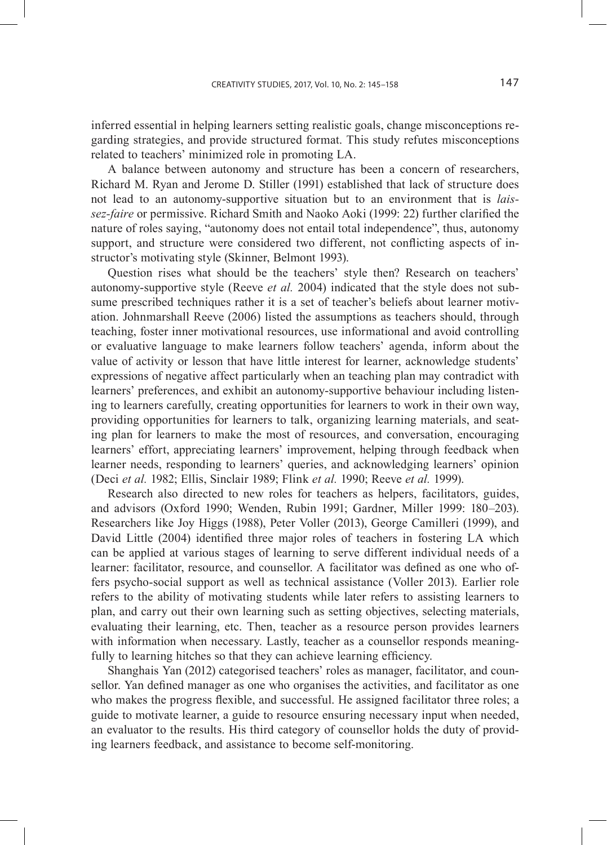inferred essential in helping learners setting realistic goals, change misconceptions regarding strategies, and provide structured format. This study refutes misconceptions related to teachers' minimized role in promoting LA.

A balance between autonomy and structure has been a concern of researchers, Richard M. Ryan and Jerome D. Stiller (1991) established that lack of structure does not lead to an autonomy-supportive situation but to an environment that is *laissez-faire* or permissive. Richard Smith and Naoko Aoki (1999: 22) further clarified the nature of roles saying, "autonomy does not entail total independence", thus, autonomy support, and structure were considered two different, not conflicting aspects of instructor's motivating style (Skinner, Belmont 1993).

Question rises what should be the teachers' style then? Research on teachers' autonomy-supportive style (Reeve *et al.* 2004) indicated that the style does not subsume prescribed techniques rather it is a set of teacher's beliefs about learner motivation. Johnmarshall Reeve (2006) listed the assumptions as teachers should, through teaching, foster inner motivational resources, use informational and avoid controlling or evaluative language to make learners follow teachers' agenda, inform about the value of activity or lesson that have little interest for learner, acknowledge students' expressions of negative affect particularly when an teaching plan may contradict with learners' preferences, and exhibit an autonomy-supportive behaviour including listening to learners carefully, creating opportunities for learners to work in their own way, providing opportunities for learners to talk, organizing learning materials, and seating plan for learners to make the most of resources, and conversation, encouraging learners' effort, appreciating learners' improvement, helping through feedback when learner needs, responding to learners' queries, and acknowledging learners' opinion (Deci *et al.* 1982; Ellis, Sinclair 1989; Flink *et al.* 1990; Reeve *et al.* 1999).

Research also directed to new roles for teachers as helpers, facilitators, guides, and advisors (Oxford 1990; Wenden, Rubin 1991; Gardner, Miller 1999: 180–203). Researchers like Joy Higgs (1988), Peter Voller (2013), George Camilleri (1999), and David Little (2004) identified three major roles of teachers in fostering LA which can be applied at various stages of learning to serve different individual needs of a learner: facilitator, resource, and counsellor. A facilitator was defined as one who offers psycho-social support as well as technical assistance (Voller 2013). Earlier role refers to the ability of motivating students while later refers to assisting learners to plan, and carry out their own learning such as setting objectives, selecting materials, evaluating their learning, etc. Then, teacher as a resource person provides learners with information when necessary. Lastly, teacher as a counsellor responds meaningfully to learning hitches so that they can achieve learning efficiency.

Shanghais Yan (2012) categorised teachers' roles as manager, facilitator, and counsellor. Yan defined manager as one who organises the activities, and facilitator as one who makes the progress flexible, and successful. He assigned facilitator three roles; a guide to motivate learner, a guide to resource ensuring necessary input when needed, an evaluator to the results. His third category of counsellor holds the duty of providing learners feedback, and assistance to become self-monitoring.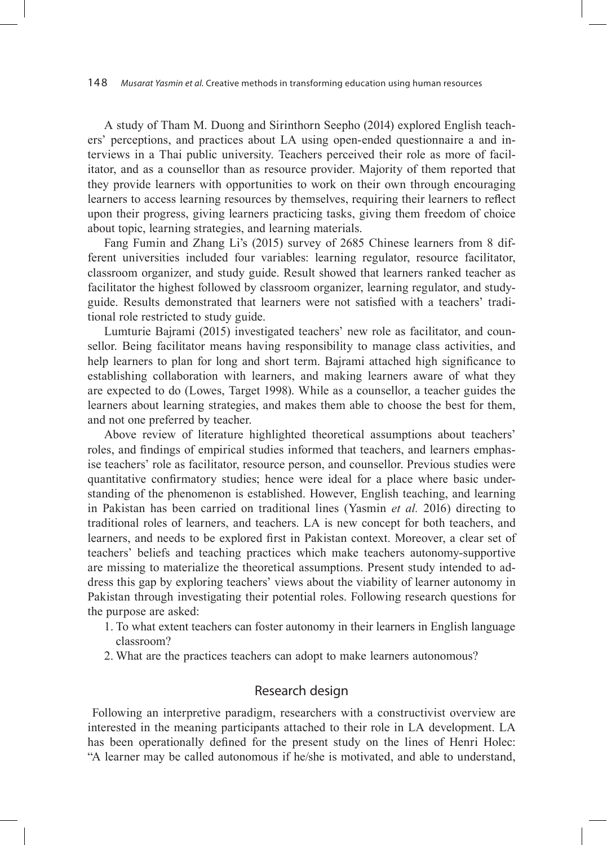A study of Tham M. Duong and Sirinthorn Seepho (2014) explored English teachers' perceptions, and practices about LA using open-ended questionnaire a and interviews in a Thai public university. Teachers perceived their role as more of facilitator, and as a counsellor than as resource provider. Majority of them reported that they provide learners with opportunities to work on their own through encouraging learners to access learning resources by themselves, requiring their learners to reflect upon their progress, giving learners practicing tasks, giving them freedom of choice about topic, learning strategies, and learning materials.

Fang Fumin and Zhang Li's (2015) survey of 2685 Chinese learners from 8 different universities included four variables: learning regulator, resource facilitator, classroom organizer, and study guide. Result showed that learners ranked teacher as facilitator the highest followed by classroom organizer, learning regulator, and studyguide. Results demonstrated that learners were not satisfied with a teachers' traditional role restricted to study guide.

Lumturie Bajrami (2015) investigated teachers' new role as facilitator, and counsellor. Being facilitator means having responsibility to manage class activities, and help learners to plan for long and short term. Bajrami attached high significance to establishing collaboration with learners, and making learners aware of what they are expected to do (Lowes, Target 1998). While as a counsellor, a teacher guides the learners about learning strategies, and makes them able to choose the best for them, and not one preferred by teacher.

Above review of literature highlighted theoretical assumptions about teachers' roles, and findings of empirical studies informed that teachers, and learners emphasise teachers' role as facilitator, resource person, and counsellor. Previous studies were quantitative confirmatory studies; hence were ideal for a place where basic understanding of the phenomenon is established. However, English teaching, and learning in Pakistan has been carried on traditional lines (Yasmin *et al.* 2016) directing to traditional roles of learners, and teachers. LA is new concept for both teachers, and learners, and needs to be explored first in Pakistan context. Moreover, a clear set of teachers' beliefs and teaching practices which make teachers autonomy-supportive are missing to materialize the theoretical assumptions. Present study intended to address this gap by exploring teachers' views about the viability of learner autonomy in Pakistan through investigating their potential roles. Following research questions for the purpose are asked:

- 1. To what extent teachers can foster autonomy in their learners in English language classroom?
- 2. What are the practices teachers can adopt to make learners autonomous?

### Research design

 Following an interpretive paradigm, researchers with a constructivist overview are interested in the meaning participants attached to their role in LA development. LA has been operationally defined for the present study on the lines of Henri Holec: "A learner may be called autonomous if he/she is motivated, and able to understand,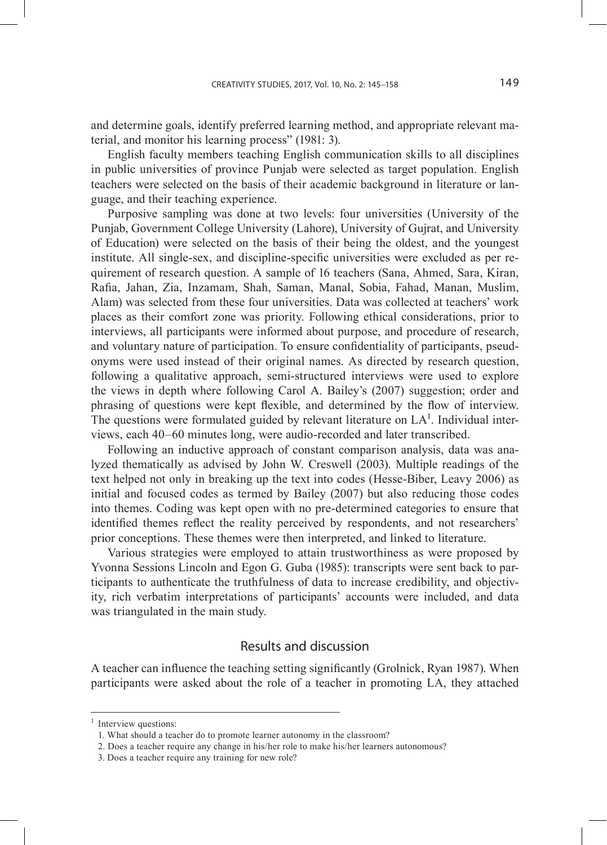and determine goals, identify preferred learning method, and appropriate relevant material, and monitor his learning process" (1981: 3).

English faculty members teaching English communication skills to all disciplines in public universities of province Punjab were selected as target population. English teachers were selected on the basis of their academic background in literature or language, and their teaching experience.

Purposive sampling was done at two levels: four universities (University of the Punjab, Government College University (Lahore), University of Gujrat, and University of Education) were selected on the basis of their being the oldest, and the youngest institute. All single-sex, and discipline-specific universities were excluded as per requirement of research question. A sample of 16 teachers (Sana, Ahmed, Sara, Kiran, Rafia, Jahan, Zia, Inzamam, Shah, Saman, Manal, Sobia, Fahad, Manan, Muslim, Alam) was selected from these four universities. Data was collected at teachers' work places as their comfort zone was priority. Following ethical considerations, prior to interviews, all participants were informed about purpose, and procedure of research, and voluntary nature of participation. To ensure confidentiality of participants, pseudonyms were used instead of their original names. As directed by research question, following a qualitative approach, semi-structured interviews were used to explore the views in depth where following Carol A. Bailey's (2007) suggestion; order and phrasing of questions were kept flexible, and determined by the flow of interview. The questions were formulated guided by relevant literature on  $LA<sup>1</sup>$ . Individual interviews, each 40–60 minutes long, were audio-recorded and later transcribed.

Following an inductive approach of constant comparison analysis, data was analyzed thematically as advised by John W. Creswell (2003). Multiple readings of the text helped not only in breaking up the text into codes (Hesse-Biber, Leavy 2006) as initial and focused codes as termed by Bailey (2007) but also reducing those codes into themes. Coding was kept open with no pre-determined categories to ensure that identified themes reflect the reality perceived by respondents, and not researchers' prior conceptions. These themes were then interpreted, and linked to literature.

Various strategies were employed to attain trustworthiness as were proposed by Yvonna Sessions Lincoln and Egon G. Guba (1985): transcripts were sent back to participants to authenticate the truthfulness of data to increase credibility, and objectivity, rich verbatim interpretations of participants' accounts were included, and data was triangulated in the main study.

# Results and discussion

A teacher can influence the teaching setting significantly (Grolnick, Ryan 1987). When participants were asked about the role of a teacher in promoting LA, they attached

<sup>&</sup>lt;sup>1</sup> Interview questions:

<sup>1.</sup> What should a teacher do to promote learner autonomy in the classroom?

<sup>2.</sup> Does a teacher require any change in his/her role to make his/her learners autonomous?

<sup>3.</sup> Does a teacher require any training for new role?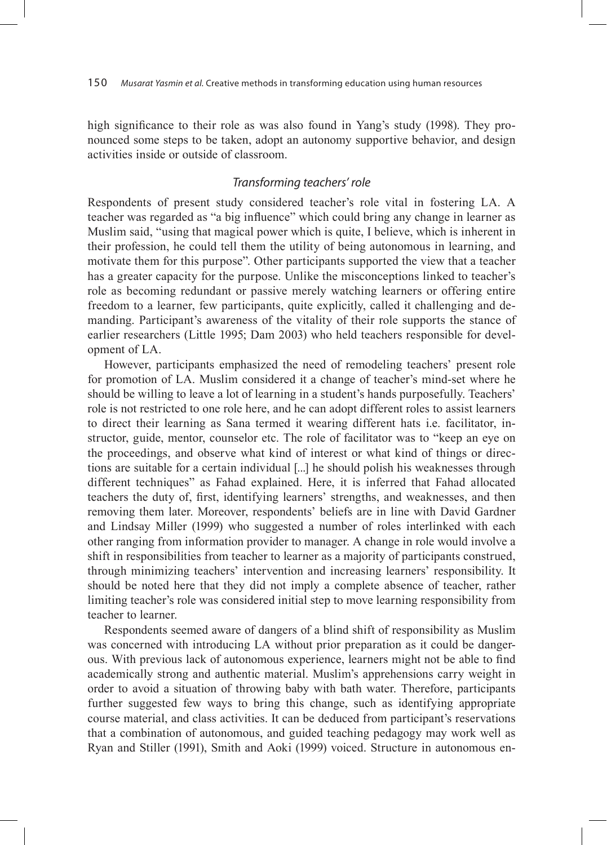high significance to their role as was also found in Yang's study (1998). They pronounced some steps to be taken, adopt an autonomy supportive behavior, and design activities inside or outside of classroom.

#### *Transforming teachers' role*

Respondents of present study considered teacher's role vital in fostering LA. A teacher was regarded as "a big influence" which could bring any change in learner as Muslim said, "using that magical power which is quite, I believe, which is inherent in their profession, he could tell them the utility of being autonomous in learning, and motivate them for this purpose". Other participants supported the view that a teacher has a greater capacity for the purpose. Unlike the misconceptions linked to teacher's role as becoming redundant or passive merely watching learners or offering entire freedom to a learner, few participants, quite explicitly, called it challenging and demanding. Participant's awareness of the vitality of their role supports the stance of earlier researchers (Little 1995; Dam 2003) who held teachers responsible for development of LA.

However, participants emphasized the need of remodeling teachers' present role for promotion of LA. Muslim considered it a change of teacher's mind-set where he should be willing to leave a lot of learning in a student's hands purposefully. Teachers' role is not restricted to one role here, and he can adopt different roles to assist learners to direct their learning as Sana termed it wearing different hats i.e. facilitator, instructor, guide, mentor, counselor etc. The role of facilitator was to "keep an eye on the proceedings, and observe what kind of interest or what kind of things or directions are suitable for a certain individual [...] he should polish his weaknesses through different techniques" as Fahad explained. Here, it is inferred that Fahad allocated teachers the duty of, first, identifying learners' strengths, and weaknesses, and then removing them later. Moreover, respondents' beliefs are in line with David Gardner and Lindsay Miller (1999) who suggested a number of roles interlinked with each other ranging from information provider to manager. A change in role would involve a shift in responsibilities from teacher to learner as a majority of participants construed, through minimizing teachers' intervention and increasing learners' responsibility. It should be noted here that they did not imply a complete absence of teacher, rather limiting teacher's role was considered initial step to move learning responsibility from teacher to learner.

Respondents seemed aware of dangers of a blind shift of responsibility as Muslim was concerned with introducing LA without prior preparation as it could be dangerous. With previous lack of autonomous experience, learners might not be able to find academically strong and authentic material. Muslim's apprehensions carry weight in order to avoid a situation of throwing baby with bath water. Therefore, participants further suggested few ways to bring this change, such as identifying appropriate course material, and class activities. It can be deduced from participant's reservations that a combination of autonomous, and guided teaching pedagogy may work well as Ryan and Stiller (1991), Smith and Aoki (1999) voiced. Structure in autonomous en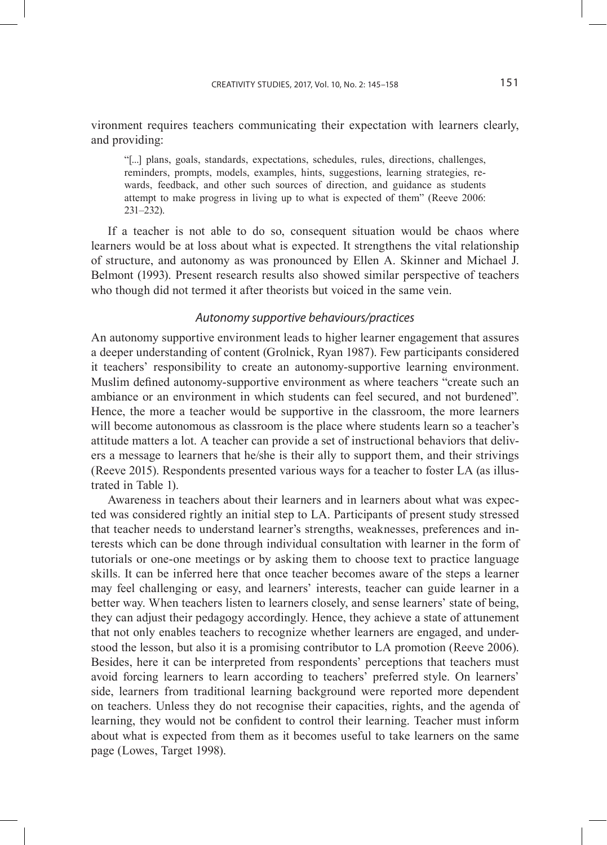vironment requires teachers communicating their expectation with learners clearly, and providing:

"[...] plans, goals, standards, expectations, schedules, rules, directions, challenges, reminders, prompts, models, examples, hints, suggestions, learning strategies, rewards, feedback, and other such sources of direction, and guidance as students attempt to make progress in living up to what is expected of them" (Reeve 2006: 231–232).

If a teacher is not able to do so, consequent situation would be chaos where learners would be at loss about what is expected. It strengthens the vital relationship of structure, and autonomy as was pronounced by Ellen A. Skinner and Michael J. Belmont (1993). Present research results also showed similar perspective of teachers who though did not termed it after theorists but voiced in the same vein.

#### *Autonomy supportive behaviours/practices*

An autonomy supportive environment leads to higher learner engagement that assures a deeper understanding of content (Grolnick, Ryan 1987). Few participants considered it teachers' responsibility to create an autonomy-supportive learning environment. Muslim defined autonomy-supportive environment as where teachers "create such an ambiance or an environment in which students can feel secured, and not burdened". Hence, the more a teacher would be supportive in the classroom, the more learners will become autonomous as classroom is the place where students learn so a teacher's attitude matters a lot. A teacher can provide a set of instructional behaviors that delivers a message to learners that he/she is their ally to support them, and their strivings (Reeve 2015). Respondents presented various ways for a teacher to foster LA (as illustrated in Table 1).

Awareness in teachers about their learners and in learners about what was expected was considered rightly an initial step to LA. Participants of present study stressed that teacher needs to understand learner's strengths, weaknesses, preferences and interests which can be done through individual consultation with learner in the form of tutorials or one-one meetings or by asking them to choose text to practice language skills. It can be inferred here that once teacher becomes aware of the steps a learner may feel challenging or easy, and learners' interests, teacher can guide learner in a better way. When teachers listen to learners closely, and sense learners' state of being, they can adjust their pedagogy accordingly. Hence, they achieve a state of attunement that not only enables teachers to recognize whether learners are engaged, and understood the lesson, but also it is a promising contributor to LA promotion (Reeve 2006). Besides, here it can be interpreted from respondents' perceptions that teachers must avoid forcing learners to learn according to teachers' preferred style. On learners' side, learners from traditional learning background were reported more dependent on teachers. Unless they do not recognise their capacities, rights, and the agenda of learning, they would not be confident to control their learning. Teacher must inform about what is expected from them as it becomes useful to take learners on the same page (Lowes, Target 1998).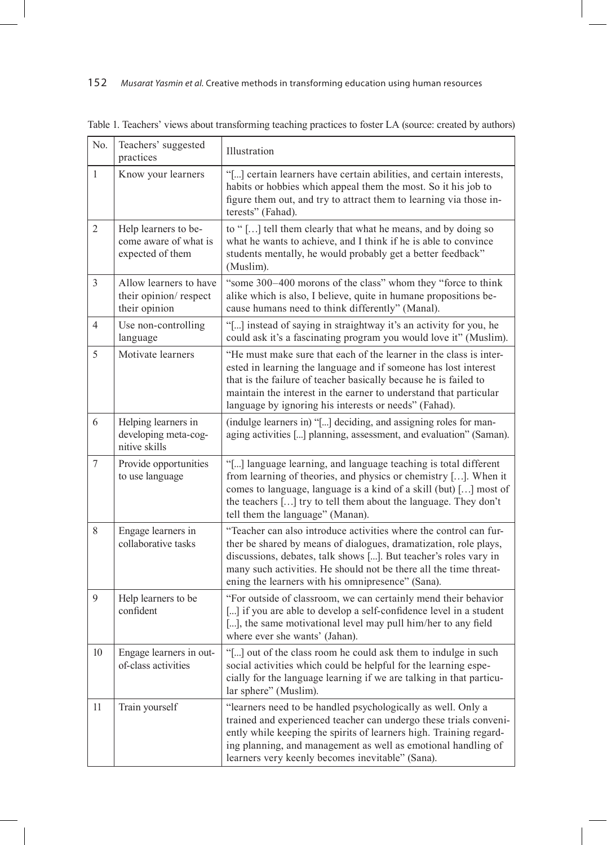$\overline{r}$ 

| No.            | Teachers' suggested<br>practices                                  | Illustration                                                                                                                                                                                                                                                                                                                            |
|----------------|-------------------------------------------------------------------|-----------------------------------------------------------------------------------------------------------------------------------------------------------------------------------------------------------------------------------------------------------------------------------------------------------------------------------------|
| $\mathbf{1}$   | Know your learners                                                | "[] certain learners have certain abilities, and certain interests,<br>habits or hobbies which appeal them the most. So it his job to<br>figure them out, and try to attract them to learning via those in-<br>terests" (Fahad).                                                                                                        |
| $\overline{2}$ | Help learners to be-<br>come aware of what is<br>expected of them | to "[] tell them clearly that what he means, and by doing so<br>what he wants to achieve, and I think if he is able to convince<br>students mentally, he would probably get a better feedback"<br>(Muslim).                                                                                                                             |
| $\mathfrak{Z}$ | Allow learners to have<br>their opinion/respect<br>their opinion  | "some 300-400 morons of the class" whom they "force to think<br>alike which is also, I believe, quite in humane propositions be-<br>cause humans need to think differently" (Manal).                                                                                                                                                    |
| $\overline{4}$ | Use non-controlling<br>language                                   | "[] instead of saying in straightway it's an activity for you, he<br>could ask it's a fascinating program you would love it" (Muslim).                                                                                                                                                                                                  |
| 5              | Motivate learners                                                 | "He must make sure that each of the learner in the class is inter-<br>ested in learning the language and if someone has lost interest<br>that is the failure of teacher basically because he is failed to<br>maintain the interest in the earner to understand that particular<br>language by ignoring his interests or needs" (Fahad). |
| 6              | Helping learners in<br>developing meta-cog-<br>nitive skills      | (indulge learners in) "[] deciding, and assigning roles for man-<br>aging activities [] planning, assessment, and evaluation" (Saman).                                                                                                                                                                                                  |
| $\tau$         | Provide opportunities<br>to use language                          | "[] language learning, and language teaching is total different<br>from learning of theories, and physics or chemistry []. When it<br>comes to language, language is a kind of a skill (but) [] most of<br>the teachers [] try to tell them about the language. They don't<br>tell them the language" (Manan).                          |
| 8              | Engage learners in<br>collaborative tasks                         | "Teacher can also introduce activities where the control can fur-<br>ther be shared by means of dialogues, dramatization, role plays,<br>discussions, debates, talk shows []. But teacher's roles vary in<br>many such activities. He should not be there all the time threat-<br>ening the learners with his omnipresence" (Sana).     |
| 9              | Help learners to be<br>confident                                  | "For outside of classroom, we can certainly mend their behavior<br>[] if you are able to develop a self-confidence level in a student<br>[], the same motivational level may pull him/her to any field<br>where ever she wants' (Jahan).                                                                                                |
| 10             | Engage learners in out-<br>of-class activities                    | "[] out of the class room he could ask them to indulge in such<br>social activities which could be helpful for the learning espe-<br>cially for the language learning if we are talking in that particu-<br>lar sphere" (Muslim).                                                                                                       |
| 11             | Train yourself                                                    | "learners need to be handled psychologically as well. Only a<br>trained and experienced teacher can undergo these trials conveni-<br>ently while keeping the spirits of learners high. Training regard-<br>ing planning, and management as well as emotional handling of<br>learners very keenly becomes inevitable" (Sana).            |

Table 1. Teachers' views about transforming teaching practices to foster LA (source: created by authors)

 $\overline{a}$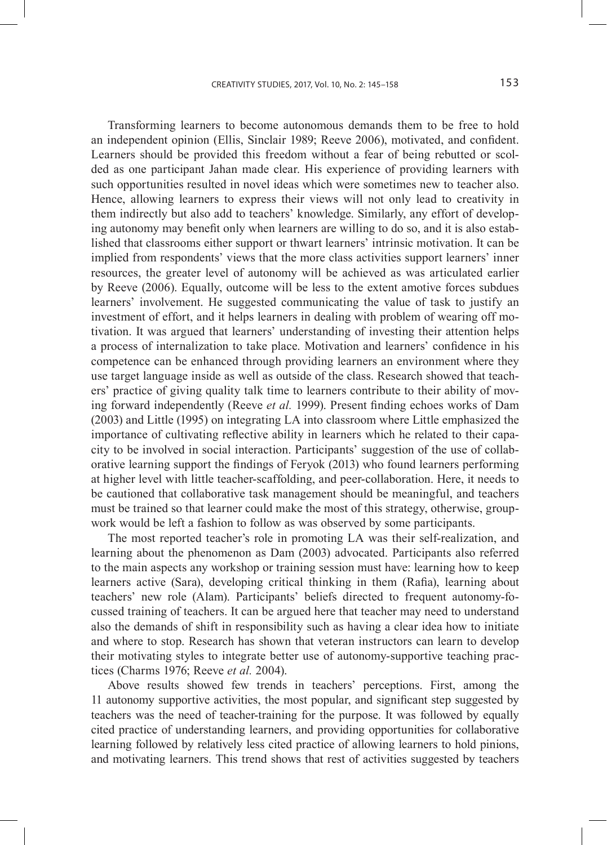Transforming learners to become autonomous demands them to be free to hold an independent opinion (Ellis, Sinclair 1989; Reeve 2006), motivated, and confident. Learners should be provided this freedom without a fear of being rebutted or scolded as one participant Jahan made clear. His experience of providing learners with such opportunities resulted in novel ideas which were sometimes new to teacher also. Hence, allowing learners to express their views will not only lead to creativity in them indirectly but also add to teachers' knowledge. Similarly, any effort of developing autonomy may benefit only when learners are willing to do so, and it is also established that classrooms either support or thwart learners' intrinsic motivation. It can be implied from respondents' views that the more class activities support learners' inner resources, the greater level of autonomy will be achieved as was articulated earlier by Reeve (2006). Equally, outcome will be less to the extent amotive forces subdues learners' involvement. He suggested communicating the value of task to justify an investment of effort, and it helps learners in dealing with problem of wearing off motivation. It was argued that learners' understanding of investing their attention helps a process of internalization to take place. Motivation and learners' confidence in his competence can be enhanced through providing learners an environment where they use target language inside as well as outside of the class. Research showed that teachers' practice of giving quality talk time to learners contribute to their ability of moving forward independently (Reeve *et al.* 1999). Present finding echoes works of Dam (2003) and Little (1995) on integrating LA into classroom where Little emphasized the importance of cultivating reflective ability in learners which he related to their capacity to be involved in social interaction. Participants' suggestion of the use of collaborative learning support the findings of Feryok (2013) who found learners performing at higher level with little teacher-scaffolding, and peer-collaboration. Here, it needs to be cautioned that collaborative task management should be meaningful, and teachers must be trained so that learner could make the most of this strategy, otherwise, groupwork would be left a fashion to follow as was observed by some participants.

The most reported teacher's role in promoting LA was their self-realization, and learning about the phenomenon as Dam (2003) advocated. Participants also referred to the main aspects any workshop or training session must have: learning how to keep learners active (Sara), developing critical thinking in them (Rafia), learning about teachers' new role (Alam). Participants' beliefs directed to frequent autonomy-focussed training of teachers. It can be argued here that teacher may need to understand also the demands of shift in responsibility such as having a clear idea how to initiate and where to stop. Research has shown that veteran instructors can learn to develop their motivating styles to integrate better use of autonomy-supportive teaching practices (Charms 1976; Reeve *et al.* 2004).

Above results showed few trends in teachers' perceptions. First, among the 11 autonomy supportive activities, the most popular, and significant step suggested by teachers was the need of teacher-training for the purpose. It was followed by equally cited practice of understanding learners, and providing opportunities for collaborative learning followed by relatively less cited practice of allowing learners to hold pinions, and motivating learners. This trend shows that rest of activities suggested by teachers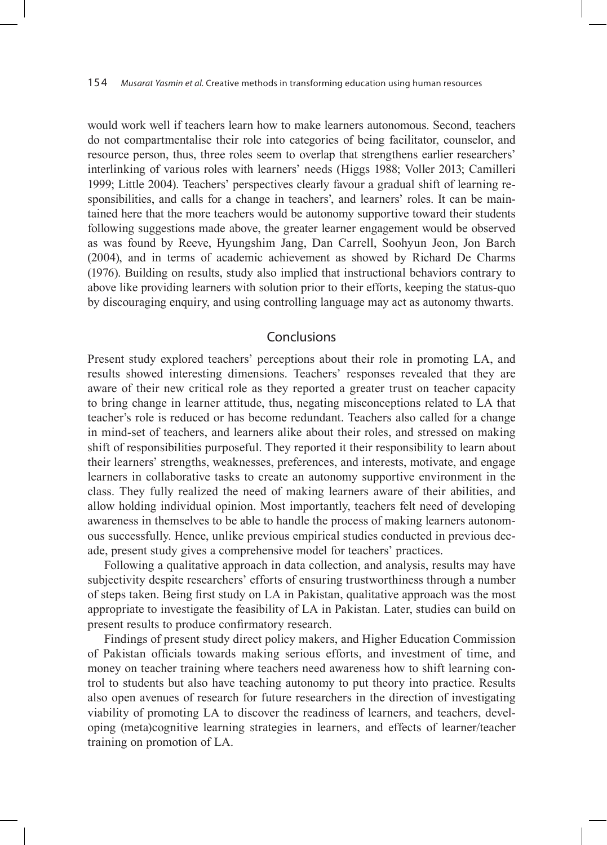would work well if teachers learn how to make learners autonomous. Second, teachers do not compartmentalise their role into categories of being facilitator, counselor, and resource person, thus, three roles seem to overlap that strengthens earlier researchers' interlinking of various roles with learners' needs (Higgs 1988; Voller 2013; Camilleri 1999; Little 2004). Teachers' perspectives clearly favour a gradual shift of learning responsibilities, and calls for a change in teachers', and learners' roles. It can be maintained here that the more teachers would be autonomy supportive toward their students following suggestions made above, the greater learner engagement would be observed as was found by Reeve, Hyungshim Jang, Dan Carrell, Soohyun Jeon, Jon Barch (2004), and in terms of academic achievement as showed by Richard De Charms (1976). Building on results, study also implied that instructional behaviors contrary to above like providing learners with solution prior to their efforts, keeping the status-quo by discouraging enquiry, and using controlling language may act as autonomy thwarts.

### Conclusions

Present study explored teachers' perceptions about their role in promoting LA, and results showed interesting dimensions. Teachers' responses revealed that they are aware of their new critical role as they reported a greater trust on teacher capacity to bring change in learner attitude, thus, negating misconceptions related to LA that teacher's role is reduced or has become redundant. Teachers also called for a change in mind-set of teachers, and learners alike about their roles, and stressed on making shift of responsibilities purposeful. They reported it their responsibility to learn about their learners' strengths, weaknesses, preferences, and interests, motivate, and engage learners in collaborative tasks to create an autonomy supportive environment in the class. They fully realized the need of making learners aware of their abilities, and allow holding individual opinion. Most importantly, teachers felt need of developing awareness in themselves to be able to handle the process of making learners autonomous successfully. Hence, unlike previous empirical studies conducted in previous decade, present study gives a comprehensive model for teachers' practices.

Following a qualitative approach in data collection, and analysis, results may have subjectivity despite researchers' efforts of ensuring trustworthiness through a number of steps taken. Being first study on LA in Pakistan, qualitative approach was the most appropriate to investigate the feasibility of LA in Pakistan. Later, studies can build on present results to produce confirmatory research.

Findings of present study direct policy makers, and Higher Education Commission of Pakistan officials towards making serious efforts, and investment of time, and money on teacher training where teachers need awareness how to shift learning control to students but also have teaching autonomy to put theory into practice. Results also open avenues of research for future researchers in the direction of investigating viability of promoting LA to discover the readiness of learners, and teachers, developing (meta)cognitive learning strategies in learners, and effects of learner/teacher training on promotion of LA.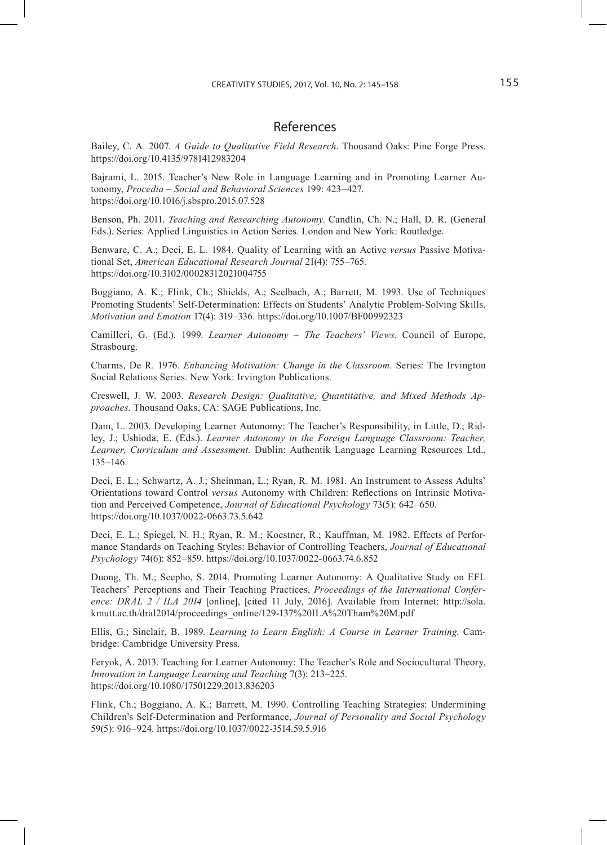### References

Bailey, C. A. 2007. *A Guide to Qualitative Field Research*. Thousand Oaks: Pine Forge Press. https://doi.org/10.4135/9781412983204

Bajrami, L. 2015. Teacher's New Role in Language Learning and in Promoting Learner Autonomy, *Procedia – Social and Behavioral Sciences* 199: 423–427. https://doi.org/10.1016/j.sbspro.2015.07.528

Benson, Ph. 2011. *Teaching and Researching Autonomy*. Candlin, Ch. N.; Hall, D. R. (General Eds.). Series: Applied Linguistics in Action Series. London and New York: Routledge.

Benware, C. A.; Deci, E. L. 1984. Quality of Learning with an Active *versus* Passive Motivational Set, *American Educational Research Journal* 21(4): 755–765. https://doi.org/10.3102/00028312021004755

Boggiano, A. K.; Flink, Ch.; Shields, A.; Seelbach, A.; Barrett, M. 1993. Use of Techniques Promoting Students' Self-Determination: Effects on Students' Analytic Problem-Solving Skills, *Motivation and Emotion* 17(4): 319–336. https://doi.org/10.1007/BF00992323

Camilleri, G. (Ed.). 1999. *Learner Autonomy – The Teachers' Views*. Council of Europe, Strasbourg.

Charms, De R. 1976. *Enhancing Motivation: Change in the Classroom*. Series: The Irvington Social Relations Series. New York: Irvington Publications.

Creswell, J. W. 2003. *Research Design: Qualitative, Quantitative, and Mixed Methods Approaches*. Thousand Oaks, CA: SAGE Publications, Inc.

Dam, L. 2003. Developing Learner Autonomy: The Teacher's Responsibility, in Little, D.; Ridley, J.; Ushioda, E. (Eds.). *Learner Autonomy in the Foreign Language Classroom: Teacher, Learner, Curriculum and Assessment*. Dublin: Authentik Language Learning Resources Ltd., 135–146.

Deci, E. L.; Schwartz, A. J.; Sheinman, L.; Ryan, R. M. 1981. An Instrument to Assess Adults' Orientations toward Control *versus* Autonomy with Children: Reflections on Intrinsic Motivation and Perceived Competence, *Journal of Educational Psychology* 73(5): 642–650. https://doi.org/10.1037/0022-0663.73.5.642

Deci, E. L.; Spiegel, N. H.; Ryan, R. M.; Koestner, R.; Kauffman, M. 1982. Effects of Performance Standards on Teaching Styles: Behavior of Controlling Teachers, *Journal of Educational Psychology* 74(6): 852–859. https://doi.org/10.1037/0022-0663.74.6.852

Duong, Th. M.; Seepho, S. 2014. Promoting Learner Autonomy: A Qualitative Study on EFL Teachers' Perceptions and Their Teaching Practices, *Proceedings of the International Conference: DRAL 2 / ILA 2014* [online], [cited 11 July, 2016]. Available from Internet: http://sola. kmutt.ac.th/dral2014/proceedings\_online/129-137%20ILA%20Tham%20M.pdf

Ellis, G.; Sinclair, B. 1989. *Learning to Learn English: A Course in Learner Training*. Cambridge: Cambridge University Press.

Feryok, A. 2013. Teaching for Learner Autonomy: The Teacher's Role and Sociocultural Theory, *Innovation in Language Learning and Teaching* 7(3): 213–225. https://doi.org/10.1080/17501229.2013.836203

Flink, Ch.; Boggiano, A. K.; Barrett, M. 1990. Controlling Teaching Strategies: Undermining Children's Self-Determination and Performance, *Journal of Personality and Social Psychology* 59(5): 916–924. https://doi.org/10.1037/0022-3514.59.5.916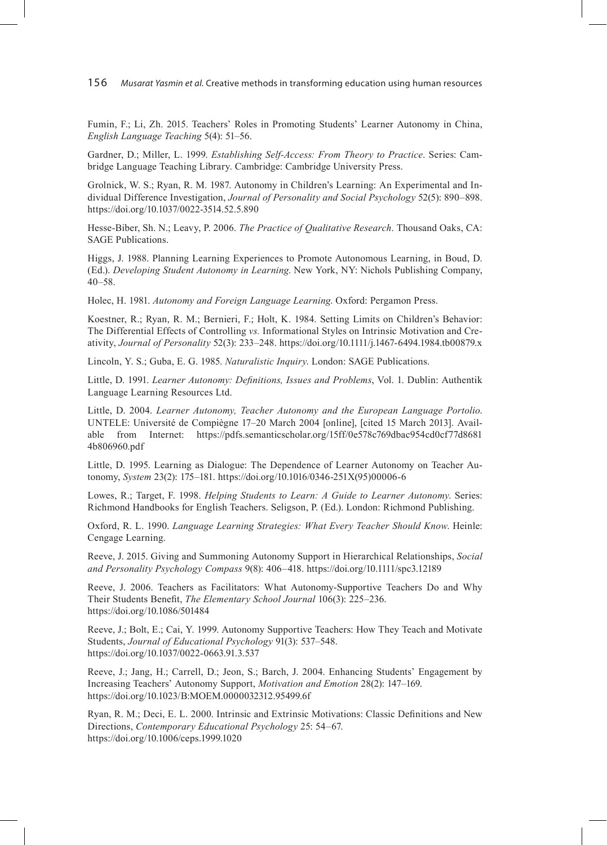Fumin, F.; Li, Zh. 2015. Teachers' Roles in Promoting Students' Learner Autonomy in China, *English Language Teaching* 5(4): 51–56.

Gardner, D.; Miller, L. 1999. *Establishing Self-Access: From Theory to Practice*. Series: Cambridge Language Teaching Library. Cambridge: Cambridge University Press.

Grolnick, W. S.; Ryan, R. M. 1987. Autonomy in Children's Learning: An Experimental and Individual Difference Investigation, *Journal of Personality and Social Psychology* 52(5): 890–898. https://doi.org/10.1037/0022-3514.52.5.890

Hesse-Biber, Sh. N.; Leavy, P. 2006. *The Practice of Qualitative Research*. Thousand Oaks, CA: SAGE Publications.

Higgs, J. 1988. Planning Learning Experiences to Promote Autonomous Learning, in Boud, D. (Ed.). *Developing Student Autonomy in Learning*. New York, NY: Nichols Publishing Company, 40–58.

Holec, H. 1981. *Autonomy and Foreign Language Learning*. Oxford: Pergamon Press.

Koestner, R.; Ryan, R. M.; Bernieri, F.; Holt, K. 1984. Setting Limits on Children's Behavior: The Differential Effects of Controlling *vs.* Informational Styles on Intrinsic Motivation and Creativity, *Journal of Personality* 52(3): 233–248. https://doi.org/10.1111/j.1467-6494.1984.tb00879.x

Lincoln, Y. S.; Guba, E. G. 1985. *Naturalistic Inquiry*. London: SAGE Publications.

Little, D. 1991. *Learner Autonomy: Definitions, Issues and Problems*, Vol. 1. Dublin: Authentik Language Learning Resources Ltd.

Little, D. 2004. *Learner Autonomy, Teacher Autonomy and the European Language Portolio*. UNTELE: Université de Compiègne 17–20 March 2004 [online], [cited 15 March 2013]. Available from Internet: https://pdfs.semanticscholar.org/15ff/0e578c769dbac954cd0cf77d8681 4b806960.pdf

Little, D. 1995. Learning as Dialogue: The Dependence of Learner Autonomy on Teacher Autonomy, *System* 23(2): 175–181. https://doi.org/10.1016/0346-251X(95)00006-6

Lowes, R.; Target, F. 1998. *Helping Students to Learn: A Guide to Learner Autonomy*. Series: Richmond Handbooks for English Teachers. Seligson, P. (Ed.). London: Richmond Publishing.

Oxford, R. L. 1990. *Language Learning Strategies: What Every Teacher Should Know*. Heinle: Cengage Learning.

Reeve, J. 2015. Giving and Summoning Autonomy Support in Hierarchical Relationships, *Social and Personality Psychology Compass* 9(8): 406–418. https://doi.org/10.1111/spc3.12189

Reeve, J. 2006. Teachers as Facilitators: What Autonomy-Supportive Teachers Do and Why Their Students Benefit, *The Elementary School Journal* 106(3): 225–236. https://doi.org/10.1086/501484

Reeve, J.; Bolt, E.; Cai, Y. 1999. Autonomy Supportive Teachers: How They Teach and Motivate Students, *Journal of Educational Psychology* 91(3): 537–548. https://doi.org/10.1037/0022-0663.91.3.537

Reeve, J.; Jang, H.; Carrell, D.; Jeon, S.; Barch, J. 2004. Enhancing Students' Engagement by Increasing Teachers' Autonomy Support, *Motivation and Emotion* 28(2): 147–169. https://doi.org/10.1023/B:MOEM.0000032312.95499.6f

Ryan, R. M.; Deci, E. L. 2000. Intrinsic and Extrinsic Motivations: Classic Definitions and New Directions, *Contemporary Educational Psychology* 25: 54–67. https://doi.org/10.1006/ceps.1999.1020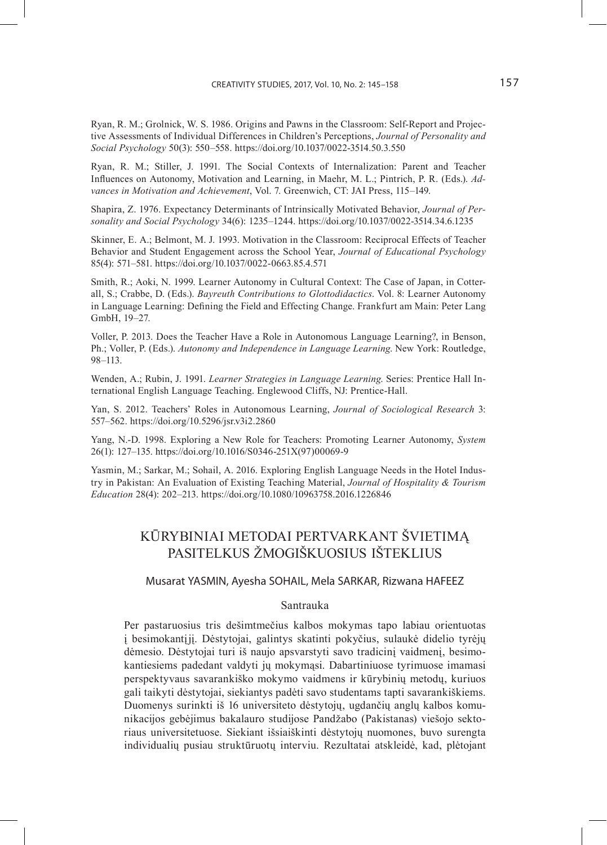Ryan, R. M.; Grolnick, W. S. 1986. Origins and Pawns in the Classroom: Self-Report and Projective Assessments of Individual Differences in Children's Perceptions, *Journal of Personality and Social Psychology* 50(3): 550–558. https://doi.org/10.1037/0022-3514.50.3.550

Ryan, R. M.; Stiller, J. 1991. The Social Contexts of Internalization: Parent and Teacher Influences on Autonomy, Motivation and Learning, in Maehr, M. L.; Pintrich, P. R. (Eds.). *Advances in Motivation and Achievement*, Vol. 7. Greenwich, CT: JAI Press, 115–149.

Shapira, Z. 1976. Expectancy Determinants of Intrinsically Motivated Behavior, *Journal of Personality and Social Psychology* 34(6): 1235–1244. https://doi.org/10.1037/0022-3514.34.6.1235

Skinner, E. A.; Belmont, M. J. 1993. Motivation in the Classroom: Reciprocal Effects of Teacher Behavior and Student Engagement across the School Year, *Journal of Educational Psychology* 85(4): 571–581. https://doi.org/10.1037/0022-0663.85.4.571

Smith, R.; Aoki, N. 1999. Learner Autonomy in Cultural Context: The Case of Japan, in Cotterall, S.; Crabbe, D. (Eds.). *Bayreuth Contributions to Glottodidactics*. Vol. 8: Learner Autonomy in Language Learning: Defining the Field and Effecting Change. Frankfurt am Main: Peter Lang GmbH, 19–27.

Voller, P. 2013. Does the Teacher Have a Role in Autonomous Language Learning?, in Benson, Ph.; Voller, P. (Eds.). *Autonomy and Independence in Language Learning*. New York: Routledge, 98–113.

Wenden, A.; Rubin, J. 1991. *Learner Strategies in Language Learning*. Series: Prentice Hall International English Language Teaching. Englewood Cliffs, NJ: Prentice-Hall.

Yan, S. 2012. Teachers' Roles in Autonomous Learning, *Journal of Sociological Research* 3: 557–562. https://doi.org/10.5296/jsr.v3i2.2860

Yang, N.-D. 1998. Exploring a New Role for Teachers: Promoting Learner Autonomy, *System* 26(1): 127–135. https://doi.org/10.1016/S0346-251X(97)00069-9

Yasmin, M.; Sarkar, M.; Sohail, A. 2016. Exploring English Language Needs in the Hotel Industry in Pakistan: An Evaluation of Existing Teaching Material, *Journal of Hospitality & Tourism Education* 28(4): 202–213. https://doi.org/10.1080/10963758.2016.1226846

# KŪRYBINIAI METODAI PERTVARKANT ŠVIETIMĄ PASITELKUS ŽMOGIŠKUOSIUS IŠTEKLIUS

#### Musarat YASMIN, Ayesha SOHAIL, Mela SARKAR, Rizwana HAFEEZ

#### Santrauka

Per pastaruosius tris dešimtmečius kalbos mokymas tapo labiau orientuotas į besimokantįjį. Dėstytojai, galintys skatinti pokyčius, sulaukė didelio tyrėjų dėmesio. Dėstytojai turi iš naujo apsvarstyti savo tradicinį vaidmenį, besimokantiesiems padedant valdyti jų mokymąsi. Dabartiniuose tyrimuose imamasi perspektyvaus savarankiško mokymo vaidmens ir kūrybinių metodų, kuriuos gali taikyti dėstytojai, siekiantys padėti savo studentams tapti savarankiškiems. Duomenys surinkti iš 16 universiteto dėstytojų, ugdančių anglų kalbos komunikacijos gebėjimus bakalauro studijose Pandžabo (Pakistanas) viešojo sektoriaus universitetuose. Siekiant išsiaiškinti dėstytojų nuomones, buvo surengta individualių pusiau struktūruotų interviu. Rezultatai atskleidė, kad, plėtojant